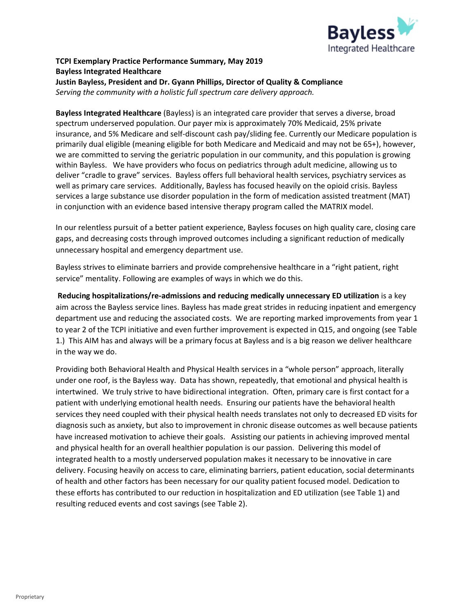

# **TCPI Exemplary Practice Performance Summary, May 2019 Bayless Integrated Healthcare Justin Bayless, President and Dr. Gyann Phillips, Director of Quality & Compliance** *Serving the community with a holistic full spectrum care delivery approach.*

**Bayless Integrated Healthcare** (Bayless) is an integrated care provider that serves a diverse, broad spectrum underserved population. Our payer mix is approximately 70% Medicaid, 25% private insurance, and 5% Medicare and self-discount cash pay/sliding fee. Currently our Medicare population is primarily dual eligible (meaning eligible for both Medicare and Medicaid and may not be 65+), however, we are committed to serving the geriatric population in our community, and this population is growing within Bayless. We have providers who focus on pediatrics through adult medicine, allowing us to deliver "cradle to grave" services. Bayless offers full behavioral health services, psychiatry services as well as primary care services. Additionally, Bayless has focused heavily on the opioid crisis. Bayless services a large substance use disorder population in the form of medication assisted treatment (MAT) in conjunction with an evidence based intensive therapy program called the MATRIX model.

In our relentless pursuit of a better patient experience, Bayless focuses on high quality care, closing care gaps, and decreasing costs through improved outcomes including a significant reduction of medically unnecessary hospital and emergency department use.

Bayless strives to eliminate barriers and provide comprehensive healthcare in a "right patient, right service" mentality. Following are examples of ways in which we do this.

**Reducing hospitalizations/re-admissions and reducing medically unnecessary ED utilization** is a key aim across the Bayless service lines. Bayless has made great strides in reducing inpatient and emergency department use and reducing the associated costs. We are reporting marked improvements from year 1 to year 2 of the TCPI initiative and even further improvement is expected in Q15, and ongoing (see Table 1.) This AIM has and always will be a primary focus at Bayless and is a big reason we deliver healthcare in the way we do.

Providing both Behavioral Health and Physical Health services in a "whole person" approach, literally under one roof, is the Bayless way. Data has shown, repeatedly, that emotional and physical health is intertwined. We truly strive to have bidirectional integration. Often, primary care is first contact for a patient with underlying emotional health needs. Ensuring our patients have the behavioral health services they need coupled with their physical health needs translates not only to decreased ED visits for diagnosis such as anxiety, but also to improvement in chronic disease outcomes as well because patients have increased motivation to achieve their goals. Assisting our patients in achieving improved mental and physical health for an overall healthier population is our passion. Delivering this model of integrated health to a mostly underserved population makes it necessary to be innovative in care delivery. Focusing heavily on access to care, eliminating barriers, patient education, social determinants of health and other factors has been necessary for our quality patient focused model. Dedication to these efforts has contributed to our reduction in hospitalization and ED utilization (see Table 1) and resulting reduced events and cost savings (see Table 2).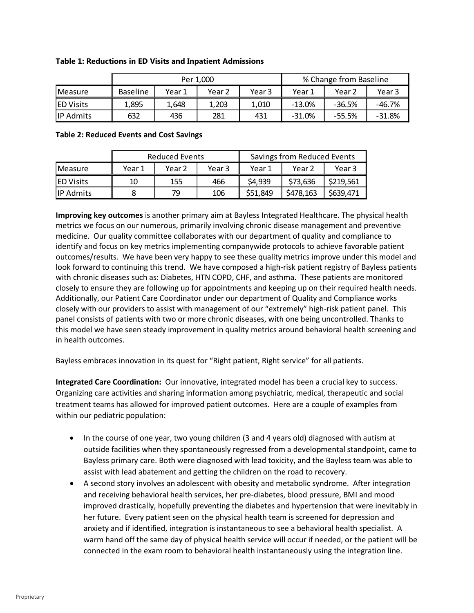|                  |                 |        | Per 1.000 | % Change from Baseline |          |          |          |
|------------------|-----------------|--------|-----------|------------------------|----------|----------|----------|
| Measure          | <b>Baseline</b> | Year 1 | Year 2    | Year 3                 | Year 1   | Year 2   | Year 3   |
| <b>ED Visits</b> | 1.895           | 1.648  | 1.203     | 1.010                  | $-13.0%$ | $-36.5%$ | $-46.7%$ |
| <b>IP Admits</b> | 632             | 436    | 281       | 431                    | $-31.0%$ | $-55.5%$ | $-31.8%$ |

### **Table 1: Reductions in ED Visits and Inpatient Admissions**

### **Table 2: Reduced Events and Cost Savings**

|                   |        | Reduced Events |        | Savings from Reduced Events |           |           |  |
|-------------------|--------|----------------|--------|-----------------------------|-----------|-----------|--|
| <b>IMeasure</b>   | Year 1 | Year 2         | Year 3 | Year 1                      | Year 2    | Year 3    |  |
| <b>IED Visits</b> | 10     | 155            | 466    | \$4,939                     | \$73,636  | \$219,561 |  |
| <b>IP Admits</b>  |        | 79             | 106    | \$51,849                    | \$478,163 | \$639,471 |  |

**Improving key outcomes** is another primary aim at Bayless Integrated Healthcare. The physical health metrics we focus on our numerous, primarily involving chronic disease management and preventive medicine. Our quality committee collaborates with our department of quality and compliance to identify and focus on key metrics implementing companywide protocols to achieve favorable patient outcomes/results. We have been very happy to see these quality metrics improve under this model and look forward to continuing this trend. We have composed a high-risk patient registry of Bayless patients with chronic diseases such as: Diabetes, HTN COPD, CHF, and asthma. These patients are monitored closely to ensure they are following up for appointments and keeping up on their required health needs. Additionally, our Patient Care Coordinator under our department of Quality and Compliance works closely with our providers to assist with management of our "extremely" high-risk patient panel. This panel consists of patients with two or more chronic diseases, with one being uncontrolled. Thanks to this model we have seen steady improvement in quality metrics around behavioral health screening and in health outcomes.

Bayless embraces innovation in its quest for "Right patient, Right service" for all patients.

**Integrated Care Coordination:** Our innovative, integrated model has been a crucial key to success. Organizing care activities and sharing information among psychiatric, medical, therapeutic and social treatment teams has allowed for improved patient outcomes. Here are a couple of examples from within our pediatric population:

- In the course of one year, two young children (3 and 4 years old) diagnosed with autism at outside facilities when they spontaneously regressed from a developmental standpoint, came to Bayless primary care. Both were diagnosed with lead toxicity, and the Bayless team was able to assist with lead abatement and getting the children on the road to recovery.
- A second story involves an adolescent with obesity and metabolic syndrome. After integration and receiving behavioral health services, her pre-diabetes, blood pressure, BMI and mood improved drastically, hopefully preventing the diabetes and hypertension that were inevitably in her future. Every patient seen on the physical health team is screened for depression and anxiety and if identified, integration is instantaneous to see a behavioral health specialist. A warm hand off the same day of physical health service will occur if needed, or the patient will be connected in the exam room to behavioral health instantaneously using the integration line.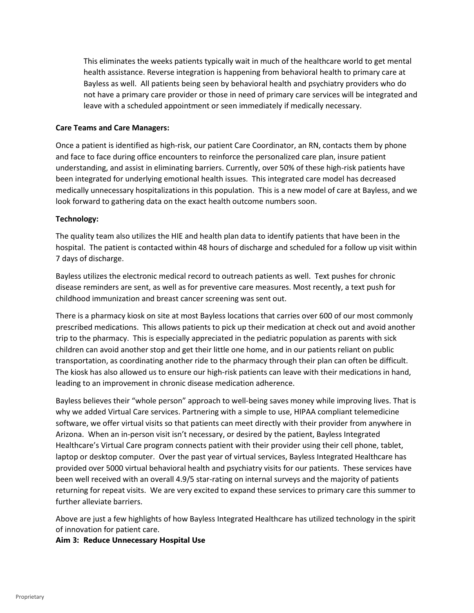This eliminates the weeks patients typically wait in much of the healthcare world to get mental health assistance. Reverse integration is happening from behavioral health to primary care at Bayless as well. All patients being seen by behavioral health and psychiatry providers who do not have a primary care provider or those in need of primary care services will be integrated and leave with a scheduled appointment or seen immediately if medically necessary.

## **Care Teams and Care Managers:**

Once a patient is identified as high-risk, our patient Care Coordinator, an RN, contacts them by phone and face to face during office encounters to reinforce the personalized care plan, insure patient understanding, and assist in eliminating barriers. Currently, over 50% of these high-risk patients have been integrated for underlying emotional health issues. This integrated care model has decreased medically unnecessary hospitalizations in this population. This is a new model of care at Bayless, and we look forward to gathering data on the exact health outcome numbers soon.

# **Technology:**

The quality team also utilizes the HIE and health plan data to identify patients that have been in the hospital. The patient is contacted within 48 hours of discharge and scheduled for a follow up visit within 7 days of discharge.

Bayless utilizes the electronic medical record to outreach patients as well. Text pushes for chronic disease reminders are sent, as well as for preventive care measures. Most recently, a text push for childhood immunization and breast cancer screening was sent out.

There is a pharmacy kiosk on site at most Bayless locations that carries over 600 of our most commonly prescribed medications. This allows patients to pick up their medication at check out and avoid another trip to the pharmacy. This is especially appreciated in the pediatric population as parents with sick children can avoid another stop and get their little one home, and in our patients reliant on public transportation, as coordinating another ride to the pharmacy through their plan can often be difficult. The kiosk has also allowed us to ensure our high-risk patients can leave with their medications in hand, leading to an improvement in chronic disease medication adherence.

Bayless believes their "whole person" approach to well-being saves money while improving lives. That is why we added Virtual Care services. Partnering with a simple to use, HIPAA compliant telemedicine software, we offer virtual visits so that patients can meet directly with their provider from anywhere in Arizona. When an in-person visit isn't necessary, or desired by the patient, Bayless Integrated Healthcare's Virtual Care program connects patient with their provider using their cell phone, tablet, laptop or desktop computer. Over the past year of virtual services, Bayless Integrated Healthcare has provided over 5000 virtual behavioral health and psychiatry visits for our patients. These services have been well received with an overall 4.9/5 star-rating on internal surveys and the majority of patients returning for repeat visits. We are very excited to expand these services to primary care this summer to further alleviate barriers.

Above are just a few highlights of how Bayless Integrated Healthcare has utilized technology in the spirit of innovation for patient care.

### **Aim 3: Reduce Unnecessary Hospital Use**